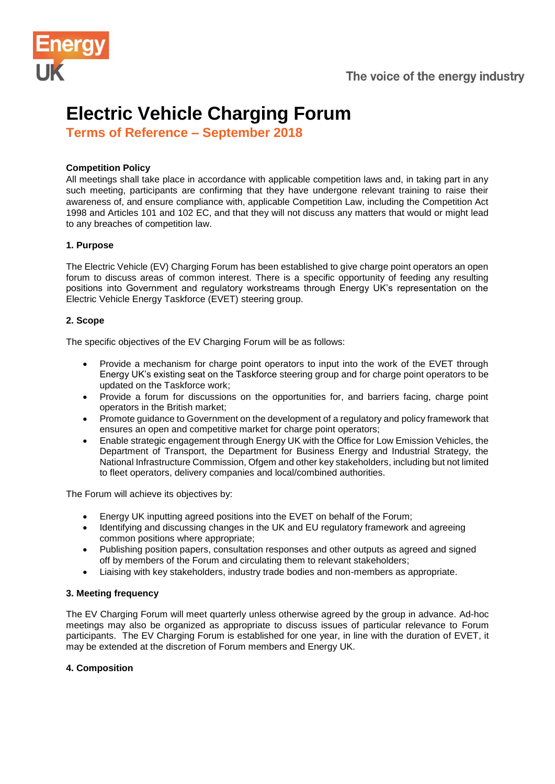



# **Electric Vehicle Charging Forum**

**Terms of Reference – September 2018**

# **Competition Policy**

All meetings shall take place in accordance with applicable competition laws and, in taking part in any such meeting, participants are confirming that they have undergone relevant training to raise their awareness of, and ensure compliance with, applicable Competition Law, including the Competition Act 1998 and Articles 101 and 102 EC, and that they will not discuss any matters that would or might lead to any breaches of competition law.

# **1. Purpose**

The Electric Vehicle (EV) Charging Forum has been established to give charge point operators an open forum to discuss areas of common interest. There is a specific opportunity of feeding any resulting positions into Government and regulatory workstreams through Energy UK's representation on the Electric Vehicle Energy Taskforce (EVET) steering group.

# **2. Scope**

The specific objectives of the EV Charging Forum will be as follows:

- Provide a mechanism for charge point operators to input into the work of the EVET through Energy UK's existing seat on the Taskforce steering group and for charge point operators to be updated on the Taskforce work;
- Provide a forum for discussions on the opportunities for, and barriers facing, charge point operators in the British market;
- Promote guidance to Government on the development of a regulatory and policy framework that ensures an open and competitive market for charge point operators;
- Enable strategic engagement through Energy UK with the Office for Low Emission Vehicles, the Department of Transport, the Department for Business Energy and Industrial Strategy, the National Infrastructure Commission, Ofgem and other key stakeholders, including but not limited to fleet operators, delivery companies and local/combined authorities.

The Forum will achieve its objectives by:

- Energy UK inputting agreed positions into the EVET on behalf of the Forum;
- Identifying and discussing changes in the UK and EU regulatory framework and agreeing common positions where appropriate;
- Publishing position papers, consultation responses and other outputs as agreed and signed off by members of the Forum and circulating them to relevant stakeholders;
- Liaising with key stakeholders, industry trade bodies and non-members as appropriate.

#### **3. Meeting frequency**

The EV Charging Forum will meet quarterly unless otherwise agreed by the group in advance. Ad-hoc meetings may also be organized as appropriate to discuss issues of particular relevance to Forum participants. The EV Charging Forum is established for one year, in line with the duration of EVET, it may be extended at the discretion of Forum members and Energy UK.

#### **4. Composition**